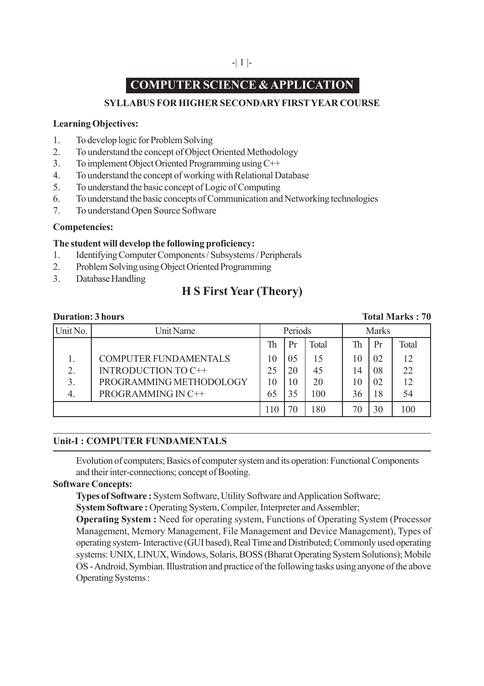# **COMPUTER SCIENCE & APPLICATION**

# **SYLLABUS FOR HIGHER SECONDARY FIRST YEAR COURSE**

### **Learning Objectives:**

- 1. To develop logic for Problem Solving
- 2. To understand the concept of Object Oriented Methodology
- 3. To implement Object Oriented Programming using C++
- 4. To understand the concept of working with Relational Database
- 5. To understand the basic concept of Logic of Computing
- 6. To understand the basic concepts of Communication and Networking technologies
- 7. To understand Open Source Software

# **Competencies:**

# **The student will develop the following proficiency:**

- 1. Identifying Computer Components / Subsystems / Peripherals
- 2. Problem Solving using Object Oriented Programming
- 3. Database Handling

# **H S First Year (Theory)**

#### **Duration: 3 hours** Total Marks : 70

| Unit No.      | Unit Name               | Periods  |    |       | <b>Marks</b> |    |       |
|---------------|-------------------------|----------|----|-------|--------------|----|-------|
|               |                         | Th       | Pr | Total | Th           | Pr | Total |
|               | COMPUTER FUNDAMENTALS   | $\Omega$ | 05 | 15    | 0            | 02 | 12    |
| $\mathcal{D}$ | INTRODUCTION TO C++     | 25       | 20 | 45    | 14           | 08 | 22    |
| 3             | PROGRAMMING METHODOLOGY | 10       | 10 | 20    | 10           | 02 | 12    |
|               | PROGRAMMING IN C++      |          | 35 | 100   | 36           | 18 | 54    |
|               |                         |          |    | 180   |              | 30 | 100   |

# **Unit-I : COMPUTER FUNDAMENTALS**

Evolution of computers; Basics of computer system and its operation: Functional Components and their inter-connections; concept of Booting.

#### **Software Concepts:**

**Types of Software :** System Software, Utility Software and Application Software;

**System Software :** Operating System, Compiler, Interpreter and Assembler;

**Operating System :** Need for operating system, Functions of Operating System (Processor Management, Memory Management, File Management and Device Management), Types of operating system- Interactive (GUI based), Real Time and Distributed; Commonly used operating systems: UNIX, LINUX, Windows, Solaris, BOSS (Bharat Operating System Solutions); Mobile OS - Android, Symbian. Illustration and practice of the following tasks using anyone of the above Operating Systems :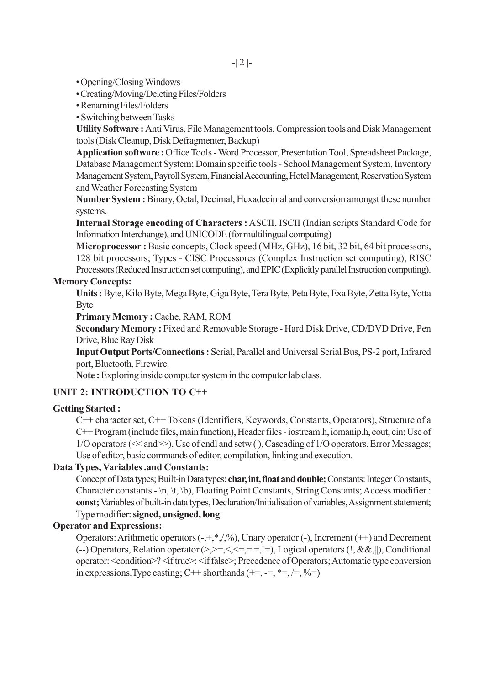- Opening/Closing Windows
- Creating/Moving/Deleting Files/Folders
- Renaming Files/Folders
- Switching between Tasks

**Utility Software :** Anti Virus, File Management tools, Compression tools and Disk Management tools (Disk Cleanup, Disk Defragmenter, Backup)

**Application software :** Office Tools - Word Processor, Presentation Tool, Spreadsheet Package, Database Management System; Domain specific tools - School Management System, Inventory Management System, Payroll System, Financial Accounting, Hotel Management, Reservation System and Weather Forecasting System

**Number System :** Binary, Octal, Decimal, Hexadecimal and conversion amongst these number systems.

**Internal Storage encoding of Characters :** ASCII, ISCII (Indian scripts Standard Code for Information Interchange), and UNICODE (for multilingual computing)

**Microprocessor :** Basic concepts, Clock speed (MHz, GHz), 16 bit, 32 bit, 64 bit processors, 128 bit processors; Types - CISC Processores (Complex Instruction set computing), RISC Processors (Reduced Instruction set computing), and EPIC (Explicitly parallel Instruction computing).

# **Memory Concepts:**

**Units :** Byte, Kilo Byte, Mega Byte, Giga Byte, Tera Byte, Peta Byte, Exa Byte, Zetta Byte, Yotta Byte

Primary Memory : Cache, RAM, ROM

**Secondary Memory : Fixed and Removable Storage - Hard Disk Drive, CD/DVD Drive, Pen** Drive, Blue Ray Disk

**Input Output Ports/Connections :** Serial, Parallel and Universal Serial Bus, PS-2 port, Infrared port, Bluetooth, Firewire.

**Note :** Exploring inside computer system in the computer lab class.

# **UNIT 2: INTRODUCTION TO C++**

#### **Getting Started :**

C++ character set, C++ Tokens (Identifiers, Keywords, Constants, Operators), Structure of a C++ Program (include files, main function), Header files - iostream.h, iomanip.h, cout, cin; Use of 1/O operators (<< and>>), Use of endl and setw ( ), Cascading of 1/O operators, Error Messages; Use of editor, basic commands of editor, compilation, linking and execution.

### **Data Types, Variables .and Constants:**

Concept of Data types; Built-in Data types: **char, int, float and double;** Constants: Integer Constants, Character constants - \n, \t, \b), Floating Point Constants, String Constants; Access modifier : **const;** Variables of built-in data types, Declaration/Initialisation of variables, Assignment statement; Type modifier: **signed, unsigned, long**

#### **Operator and Expressions:**

Operators: Arithmetic operators  $(-, +, *, ', ',\%)$ , Unary operator  $(-)$ , Increment  $(++)$  and Decrement (--) Operators, Relation operator  $(\geq, \geq, \leq, \leq, =, |=)$ , Logical operators  $(!, \&\&, ||)$ , Conditional operator: <condition>? <if true>: <if false>; Precedence of Operators; Automatic type conversion in expressions. Type casting;  $C++$  shorthands  $(+=, =, *=, /=, \%=)$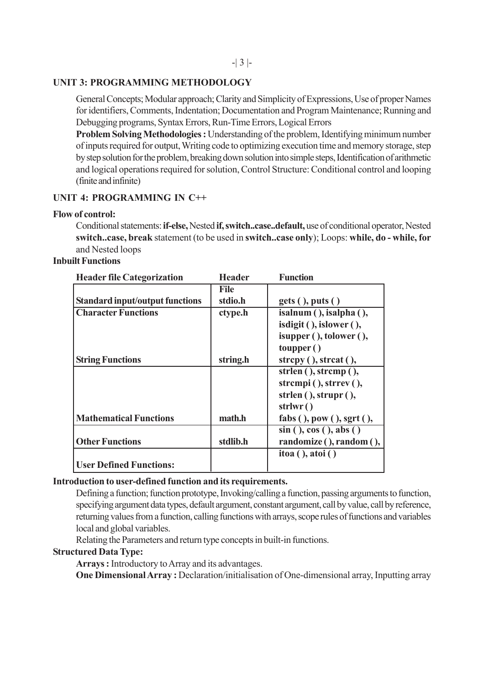#### -| 3 |-

# **UNIT 3: PROGRAMMING METHODOLOGY**

General Concepts; Modular approach; Clarity and Simplicity of Expressions, Use of proper Names for identifiers, Comments, Indentation; Documentation and Program Maintenance; Running and Debugging programs, Syntax Errors, Run-Time Errors, Logical Errors

**Problem Solving Methodologies :** Understanding of the problem, Identifying minimum number of inputs required for output, Writing code to optimizing execution time and memory storage, step by step solution for the problem, breaking down solution into simple steps, Identification of arithmetic and logical operations required for solution, Control Structure: Conditional control and looping (finite and infinite)

# **UNIT 4: PROGRAMMING IN C++**

#### **Flow of control:**

Conditional statements: **if-else,** Nested **if, switch..case..default,** use of conditional operator, Nested **switch..case, break** statement (to be used in **switch..case only**); Loops: **while, do - while, for** and Nested loops

#### **Inbuilt Functions**

| <b>Header file Categorization</b>      | <b>Header</b> | <b>Function</b>                      |
|----------------------------------------|---------------|--------------------------------------|
|                                        | File          |                                      |
| <b>Standard input/output functions</b> | stdio.h       | $gets($ , puts( $)$                  |
| <b>Character Functions</b>             | ctype.h       | $isalnum($ , $isalpha($ ),           |
|                                        |               | $isdigit($ , islower $($ ),          |
|                                        |               | $is upper$ (), to lower (),          |
|                                        |               | toupper()                            |
| <b>String Functions</b>                | string.h      | strcpy $($ ), strcat $($ ),          |
|                                        |               | strlen $($ ), strcmp $($ ),          |
|                                        |               | strcmpi $($ ), strrev $($ ),         |
|                                        |               | strlen $($ ), strupr $($ ),          |
|                                        |               | strlwr()                             |
| <b>Mathematical Functions</b>          | math.h        | fabs $($ ), pow $($ ), sgrt $($ $),$ |
|                                        |               | sin(), cos(), abs(                   |
| <b>Other Functions</b>                 | stdlib.h      | randomize (), random (),             |
|                                        |               | $itoa()$ , atoi $()$                 |
| <b>User Defined Functions:</b>         |               |                                      |

#### **Introduction to user-defined function and its requirements.**

Defining a function; function prototype, Invoking/calling a function, passing arguments to function, specifying argument data types, default argument, constant argument, call by value, call by reference, returning values from a function, calling functions with arrays, scope rules of functions and variables local and global variables.

Relating the Parameters and return type concepts in built-in functions.

# **Structured Data Type:**

**Arrays :** Introductory to Array and its advantages.

**One Dimensional Array :** Declaration/initialisation of One-dimensional array, Inputting array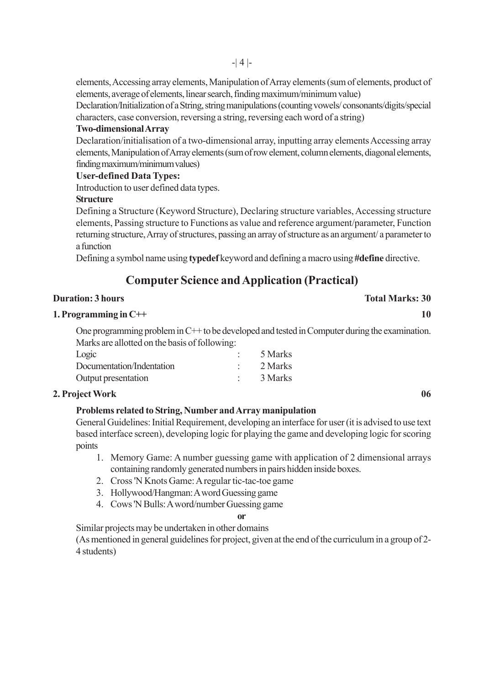elements, Accessing array elements, Manipulation of Array elements (sum of elements, product of elements, average of elements, linear search, finding maximum/minimum value)

Declaration/Initialization of a String, string manipulations (counting vowels/ consonants/digits/special characters, case conversion, reversing a string, reversing each word of a string)

# **Two-dimensional Array**

Declaration/initialisation of a two-dimensional array, inputting array elements Accessing array elements, Manipulation of Array elements (sum of row element, column elements, diagonal elements, finding maximum/minimum values)

# **User-defined Data Types:**

Introduction to user defined data types.

# **Structure**

Defining a Structure (Keyword Structure), Declaring structure variables, Accessing structure elements, Passing structure to Functions as value and reference argument/parameter, Function returning structure, Array of structures, passing an array of structure as an argument/ a parameter to a function

Defining a symbol name using **typedef** keyword and defining a macro using **#define** directive.

# **Computer Science and Application (Practical)**

# **Duration: 3 hours Total Marks: 30**

# **1. Programming in C++** 10

One programming problem in C++ to be developed and tested in Computer during the examination. Marks are allotted on the basis of following:

| Logic                     | 5 Marks |
|---------------------------|---------|
| Documentation/Indentation | 2 Marks |
| Output presentation       | 3 Marks |

# **2. Project Work 06**

# **Problems related to String, Number and Array manipulation**

General Guidelines: Initial Requirement, developing an interface for user (it is advised to use text based interface screen), developing logic for playing the game and developing logic for scoring points

- 1. Memory Game: A number guessing game with application of 2 dimensional arrays containing randomly generated numbers in pairs hidden inside boxes.
- 2. Cross 'N Knots Game: A regular tic-tac-toe game
- 3. Hollywood/Hangman: A word Guessing game
- 4. Cows 'N Bulls: A word/number Guessing game

#### **or**

Similar projects may be undertaken in other domains

(As mentioned in general guidelines for project, given at the end of the curriculum in a group of 2- 4 students)